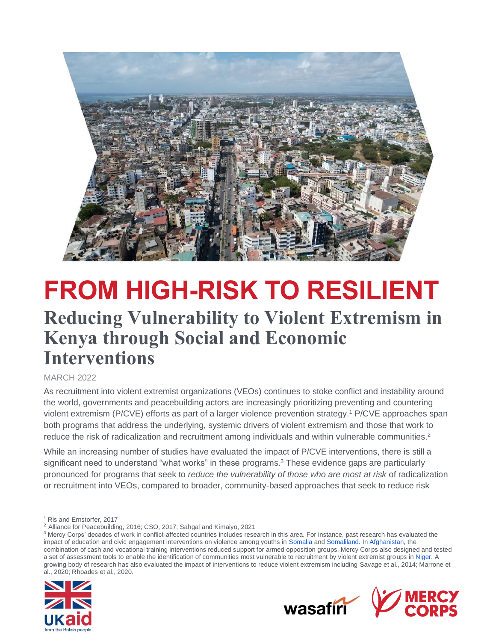

# **FROM HIGH-RISK TO RESILIENT Reducing Vulnerability to Violent Extremism in Kenya through Social and Economic Interventions**

#### MARCH 2022

As recruitment into violent extremist organizations (VEOs) continues to stoke conflict and instability around the world, governments and peacebuilding actors are increasingly prioritizing preventing and countering violent extremism (P/CVE) efforts as part of a larger violence prevention strategy. <sup>1</sup> P/CVE approaches span both programs that address the underlying, systemic drivers of violent extremism and those that work to reduce the risk of radicalization and recruitment among individuals and within vulnerable communities.<sup>2</sup>

While an increasing number of studies have evaluated the impact of P/CVE interventions, there is still a significant need to understand "what works" in these programs.<sup>3</sup> These evidence gaps are particularly pronounced for programs that seek to *reduce the vulnerability of those who are most at risk* of radicalization or recruitment into VEOs, compared to broader, community-based approaches that seek to reduce risk

<sup>&</sup>lt;sup>3</sup> Mercy Corps' decades of work in conflict-affected countries includes research in this area. For instance, past research has evaluated the impact of education and civic engagement interventions on violence among youths in [Somalia a](https://www.mercycorps.org/sites/default/files/2019-11/If%20Youth%20Are%20Given%20the%20Chance_LR_FINAL.pdf)n[d Somaliland.](https://www.mercycorps.org/sites/default/files/2020-01/CRITICAL_CHOICES_REPORT_FINAL_DIGITAL.pdf) I[n Afghanistan,](https://www.mercycorps.org/sites/default/files/2019-11/CanEconomicInterventionsReduceViolence_Afghanistan_MercyCoprs_Feb2018.pdf) the combination of cash and vocational training interventions reduced support for armed opposition groups. Mercy Corps also designed and tested a set of assessment tools to enable the identification of communities most vulnerable to recruitment by violent extremist groups in [Niger.](https://www.mercycorps.org/research-resources/niger-recruitment-extremist-groups) A growing body of research has also evaluated the impact of interventions to reduce violent extremism including Savage et al., 2014; Marrone et al., 2020; Rhoades et al., 2020.





<sup>1</sup> Ris and Ernstorfer, 2017

<sup>2</sup> Alliance for Peacebuilding, 2016; CSO, 2017; Sahgal and Kimaiyo, 2021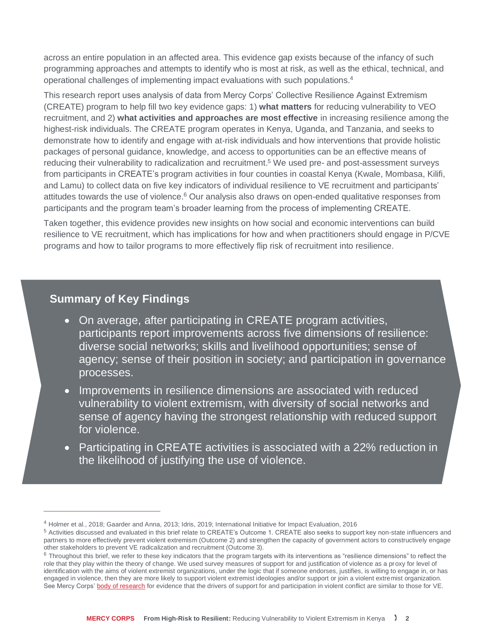across an entire population in an affected area. This evidence gap exists because of the infancy of such programming approaches and attempts to identify who is most at risk, as well as the ethical, technical, and operational challenges of implementing impact evaluations with such populations.<sup>4</sup>

This research report uses analysis of data from Mercy Corps' Collective Resilience Against Extremism (CREATE) program to help fill two key evidence gaps: 1) **what matters** for reducing vulnerability to VEO recruitment, and 2) **what activities and approaches are most effective** in increasing resilience among the highest-risk individuals. The CREATE program operates in Kenya, Uganda, and Tanzania, and seeks to demonstrate how to identify and engage with at-risk individuals and how interventions that provide holistic packages of personal guidance, knowledge, and access to opportunities can be an effective means of reducing their vulnerability to radicalization and recruitment.<sup>5</sup> We used pre- and post-assessment surveys from participants in CREATE's program activities in four counties in coastal Kenya (Kwale, Mombasa, Kilifi, and Lamu) to collect data on five key indicators of individual resilience to VE recruitment and participants' attitudes towards the use of violence.<sup>6</sup> Our analysis also draws on open-ended qualitative responses from participants and the program team's broader learning from the process of implementing CREATE.

Taken together, this evidence provides new insights on how social and economic interventions can build resilience to VE recruitment, which has implications for how and when practitioners should engage in P/CVE programs and how to tailor programs to more effectively flip risk of recruitment into resilience.

### **Summary of Key Findings**

- On average, after participating in CREATE program activities, participants report improvements across five dimensions of resilience: diverse social networks; skills and livelihood opportunities; sense of agency; sense of their position in society; and participation in governance processes.
- Improvements in resilience dimensions are associated with reduced vulnerability to violent extremism, with diversity of social networks and sense of agency having the strongest relationship with reduced support for violence.
- Participating in CREATE activities is associated with a 22% reduction in the likelihood of justifying the use of violence.

<sup>4</sup> Holmer et al., 2018; Gaarder and Anna, 2013; Idris, 2019; International Initiative for Impact Evaluation, 2016

<sup>5</sup> Activities discussed and evaluated in this brief relate to CREATE's Outcome 1. CREATE also seeks to support key non-state influencers and partners to more effectively prevent violent extremism (Outcome 2) and strengthen the capacity of government actors to constructively engage other stakeholders to prevent VE radicalization and recruitment (Outcome 3).

 $6$  Throughout this brief, we refer to these key indicators that the program targets with its interventions as "resilience dimensions" to reflect the role that they play within the theory of change. We used survey measures of support for and justification of violence as a proxy for level of identification with the aims of violent extremist organizations, under the logic that if someone endorses, justifies, is willing to engage in, or has engaged in violence, then they are more likely to support violent extremist ideologies and/or support or join a violent extremist organization. See Mercy Corps' [body of research](https://www.mercycorps.org/research-resources/thought-leadership-peace-conflict) for evidence that the drivers of support for and participation in violent conflict are similar to those for VE.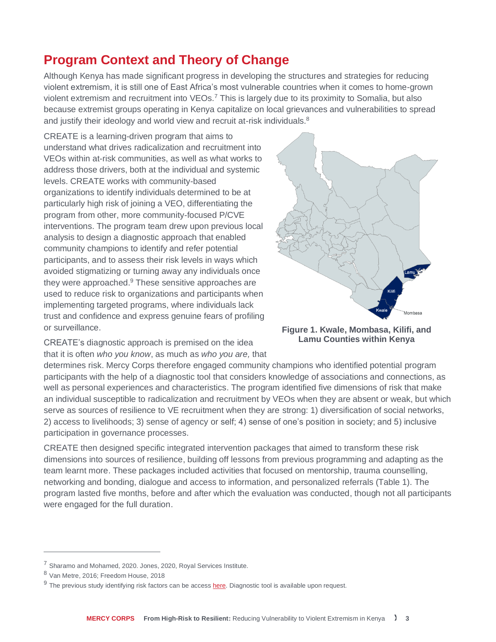## **Program Context and Theory of Change**

Although Kenya has made significant progress in developing the structures and strategies for reducing violent extremism, it is still one of East Africa's most vulnerable countries when it comes to home-grown violent extremism and recruitment into VEOs.<sup>7</sup> This is largely due to its proximity to Somalia, but also because extremist groups operating in Kenya capitalize on local grievances and vulnerabilities to spread and justify their ideology and world view and recruit at-risk individuals.<sup>8</sup>

CREATE is a learning-driven program that aims to understand what drives radicalization and recruitment into VEOs within at-risk communities, as well as what works to address those drivers, both at the individual and systemic levels. CREATE works with community-based organizations to identify individuals determined to be at particularly high risk of joining a VEO, differentiating the program from other, more community-focused P/CVE interventions. The program team drew upon previous local analysis to design a diagnostic approach that enabled community champions to identify and refer potential participants, and to assess their risk levels in ways which avoided stigmatizing or turning away any individuals once they were approached.<sup>9</sup> These sensitive approaches are used to reduce risk to organizations and participants when implementing targeted programs, where individuals lack trust and confidence and express genuine fears of profiling or surveillance.



**Figure 1. Kwale, Mombasa, Kilifi, and Lamu Counties within Kenya**

CREATE's diagnostic approach is premised on the idea that it is often *who you know*, as much as *who you are,* that

determines risk. Mercy Corps therefore engaged community champions who identified potential program participants with the help of a diagnostic tool that considers knowledge of associations and connections, as well as personal experiences and characteristics. The program identified five dimensions of risk that make an individual susceptible to radicalization and recruitment by VEOs when they are absent or weak, but which serve as sources of resilience to VE recruitment when they are strong: 1) diversification of social networks, 2) access to livelihoods; 3) sense of agency or self; 4) sense of one's position in society; and 5) inclusive participation in governance processes.

CREATE then designed specific integrated intervention packages that aimed to transform these risk dimensions into sources of resilience, building off lessons from previous programming and adapting as the team learnt more. These packages included activities that focused on mentorship, trauma counselling, networking and bonding, dialogue and access to information, and personalized referrals (Table 1). The program lasted five months, before and after which the evaluation was conducted, though not all participants were engaged for the full duration.

<sup>&</sup>lt;sup>7</sup> Sharamo and Mohamed, 2020. Jones, 2020, Royal Services Institute.

<sup>8</sup> Van Metre, 2016; Freedom House, 2018

<sup>&</sup>lt;sup>9</sup> The previous study identifying risk factors can be access **here**. Diagnostic tool is available upon request.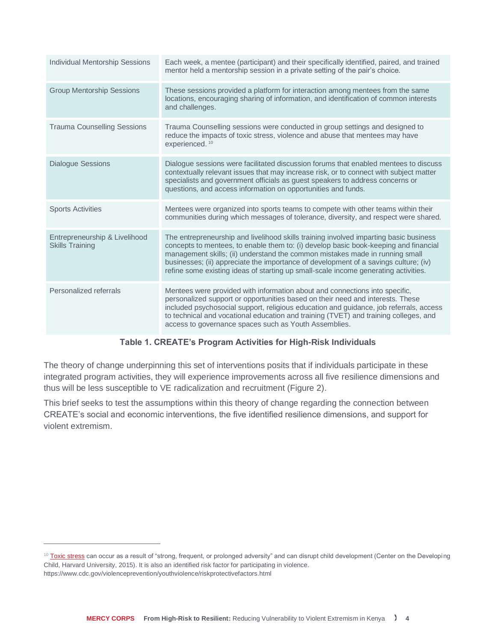| <b>Individual Mentorship Sessions</b>                   | Each week, a mentee (participant) and their specifically identified, paired, and trained<br>mentor held a mentorship session in a private setting of the pair's choice.                                                                                                                                                                                                                                                                      |
|---------------------------------------------------------|----------------------------------------------------------------------------------------------------------------------------------------------------------------------------------------------------------------------------------------------------------------------------------------------------------------------------------------------------------------------------------------------------------------------------------------------|
| <b>Group Mentorship Sessions</b>                        | These sessions provided a platform for interaction among mentees from the same<br>locations, encouraging sharing of information, and identification of common interests<br>and challenges.                                                                                                                                                                                                                                                   |
| <b>Trauma Counselling Sessions</b>                      | Trauma Counselling sessions were conducted in group settings and designed to<br>reduce the impacts of toxic stress, violence and abuse that mentees may have<br>experienced. <sup>10</sup>                                                                                                                                                                                                                                                   |
| <b>Dialogue Sessions</b>                                | Dialogue sessions were facilitated discussion forums that enabled mentees to discuss<br>contextually relevant issues that may increase risk, or to connect with subject matter<br>specialists and government officials as guest speakers to address concerns or<br>questions, and access information on opportunities and funds.                                                                                                             |
| <b>Sports Activities</b>                                | Mentees were organized into sports teams to compete with other teams within their<br>communities during which messages of tolerance, diversity, and respect were shared.                                                                                                                                                                                                                                                                     |
| Entrepreneurship & Livelihood<br><b>Skills Training</b> | The entrepreneurship and livelihood skills training involved imparting basic business<br>concepts to mentees, to enable them to: (i) develop basic book-keeping and financial<br>management skills; (ii) understand the common mistakes made in running small<br>businesses; (ii) appreciate the importance of development of a savings culture; (iv)<br>refine some existing ideas of starting up small-scale income generating activities. |
| Personalized referrals                                  | Mentees were provided with information about and connections into specific,<br>personalized support or opportunities based on their need and interests. These<br>included psychosocial support, religious education and guidance, job referrals, access<br>to technical and vocational education and training (TVET) and training colleges, and<br>access to governance spaces such as Youth Assemblies.                                     |

#### **Table 1. CREATE's Program Activities for High-Risk Individuals**

The theory of change underpinning this set of interventions posits that if individuals participate in these integrated program activities, they will experience improvements across all five resilience dimensions and thus will be less susceptible to VE radicalization and recruitment (Figure 2).

This brief seeks to test the assumptions within this theory of change regarding the connection between CREATE's social and economic interventions, the five identified resilience dimensions, and support for violent extremism.

<sup>&</sup>lt;sup>10</sup> [Toxic stress](https://developingchild.harvard.edu/science/key-concepts/toxic-stress/) can occur as a result of "strong, frequent, or prolonged adversity" and can disrupt child development (Center on the Developing Child, Harvard University, 2015). It is also an identified risk factor for participating in violence. https://www.cdc.gov/violenceprevention/youthviolence/riskprotectivefactors.html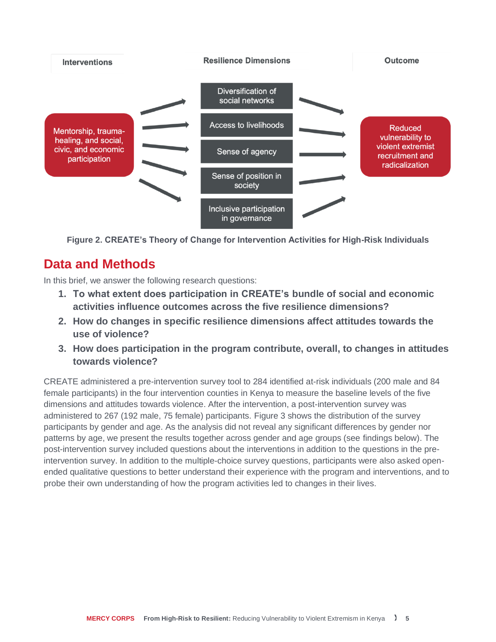

**Figure 2. CREATE's Theory of Change for Intervention Activities for High-Risk Individuals**

## **Data and Methods**

In this brief, we answer the following research questions:

- **1. To what extent does participation in CREATE's bundle of social and economic activities influence outcomes across the five resilience dimensions?**
- **2. How do changes in specific resilience dimensions affect attitudes towards the use of violence?**
- **3. How does participation in the program contribute, overall, to changes in attitudes towards violence?**

CREATE administered a pre-intervention survey tool to 284 identified at-risk individuals (200 male and 84 female participants) in the four intervention counties in Kenya to measure the baseline levels of the five dimensions and attitudes towards violence. After the intervention, a post-intervention survey was administered to 267 (192 male, 75 female) participants. Figure 3 shows the distribution of the survey participants by gender and age. As the analysis did not reveal any significant differences by gender nor patterns by age, we present the results together across gender and age groups (see findings below). The post-intervention survey included questions about the interventions in addition to the questions in the preintervention survey. In addition to the multiple-choice survey questions, participants were also asked openended qualitative questions to better understand their experience with the program and interventions, and to probe their own understanding of how the program activities led to changes in their lives.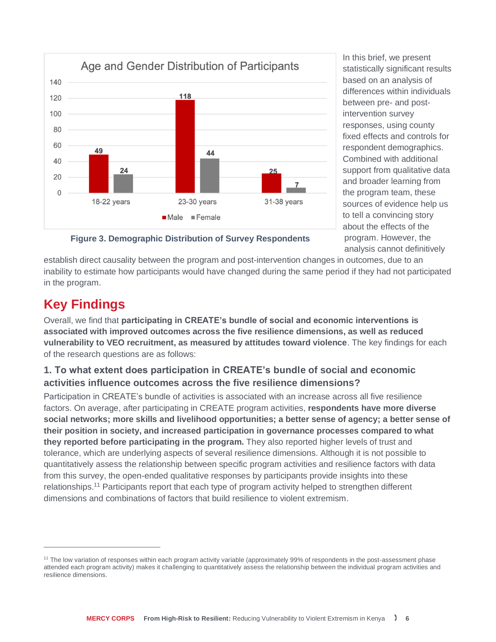

In this brief, we present statistically significant results based on an analysis of differences within individuals between pre- and postintervention survey responses, using county fixed effects and controls for respondent demographics. Combined with additional support from qualitative data and broader learning from the program team, these sources of evidence help us to tell a convincing story about the effects of the program. However, the analysis cannot definitively

**Figure 3. Demographic Distribution of Survey Respondents**

establish direct causality between the program and post-intervention changes in outcomes, due to an inability to estimate how participants would have changed during the same period if they had not participated in the program.

## **Key Findings**

Overall, we find that **participating in CREATE's bundle of social and economic interventions is associated with improved outcomes across the five resilience dimensions, as well as reduced vulnerability to VEO recruitment, as measured by attitudes toward violence**. The key findings for each of the research questions are as follows:

## **1. To what extent does participation in CREATE's bundle of social and economic activities influence outcomes across the five resilience dimensions?**

Participation in CREATE's bundle of activities is associated with an increase across all five resilience factors. On average, after participating in CREATE program activities, **respondents have more diverse social networks; more skills and livelihood opportunities; a better sense of agency; a better sense of their position in society, and increased participation in governance processes compared to what they reported before participating in the program.** They also reported higher levels of trust and tolerance, which are underlying aspects of several resilience dimensions. Although it is not possible to quantitatively assess the relationship between specific program activities and resilience factors with data from this survey, the open-ended qualitative responses by participants provide insights into these relationships.<sup>11</sup> Participants report that each type of program activity helped to strengthen different dimensions and combinations of factors that build resilience to violent extremism.

<sup>&</sup>lt;sup>11</sup> The low variation of responses within each program activity variable (approximately 99% of respondents in the post-assessment phase attended each program activity) makes it challenging to quantitatively assess the relationship between the individual program activities and resilience dimensions.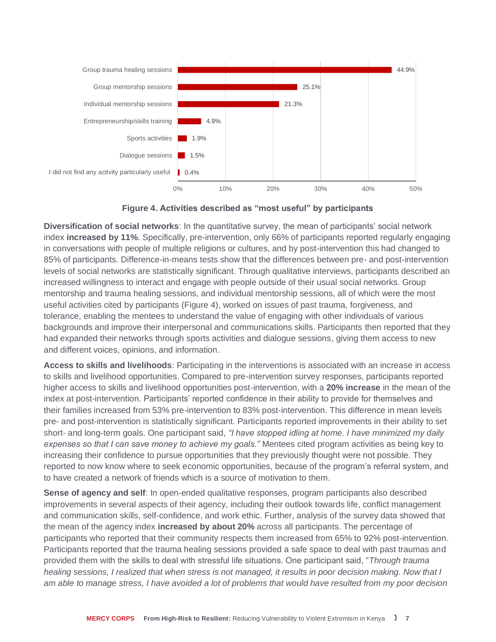

**Figure 4. Activities described as "most useful" by participants**

**Diversification of social networks**: In the quantitative survey, the mean of participants' social network index **increased by 11%**. Specifically, pre-intervention, only 66% of participants reported regularly engaging in conversations with people of multiple religions or cultures, and by post-intervention this had changed to 85% of participants. Difference-in-means tests show that the differences between pre- and post-intervention levels of social networks are statistically significant. Through qualitative interviews, participants described an increased willingness to interact and engage with people outside of their usual social networks. Group mentorship and trauma healing sessions, and individual mentorship sessions, all of which were the most useful activities cited by participants (Figure 4), worked on issues of past trauma, forgiveness, and tolerance, enabling the mentees to understand the value of engaging with other individuals of various backgrounds and improve their interpersonal and communications skills. Participants then reported that they had expanded their networks through sports activities and dialogue sessions, giving them access to new and different voices, opinions, and information.

**Access to skills and livelihoods**: Participating in the interventions is associated with an increase in access to skills and livelihood opportunities. Compared to pre-intervention survey responses, participants reported higher access to skills and livelihood opportunities post-intervention, with a **20% increase** in the mean of the index at post-intervention. Participants' reported confidence in their ability to provide for themselves and their families increased from 53% pre-intervention to 83% post-intervention. This difference in mean levels pre- and post-intervention is statistically significant. Participants reported improvements in their ability to set short- and long-term goals. One participant said, *"I have stopped idling at home. I have minimized my daily expenses so that I can save money to achieve my goals."* Mentees cited program activities as being key to increasing their confidence to pursue opportunities that they previously thought were not possible. They reported to now know where to seek economic opportunities, because of the program's referral system, and to have created a network of friends which is a source of motivation to them.

**Sense of agency and self**: In open-ended qualitative responses, program participants also described improvements in several aspects of their agency, including their outlook towards life, conflict management and communication skills, self-confidence, and work ethic. Further, analysis of the survey data showed that the mean of the agency index **increased by about 20%** across all participants. The percentage of participants who reported that their community respects them increased from 65% to 92% post-intervention. Participants reported that the trauma healing sessions provided a safe space to deal with past traumas and provided them with the skills to deal with stressful life situations. One participant said, "*Through trauma healing sessions, I realized that when stress is not managed, it results in poor decision making. Now that I am able to manage stress, I have avoided a lot of problems that would have resulted from my poor decision*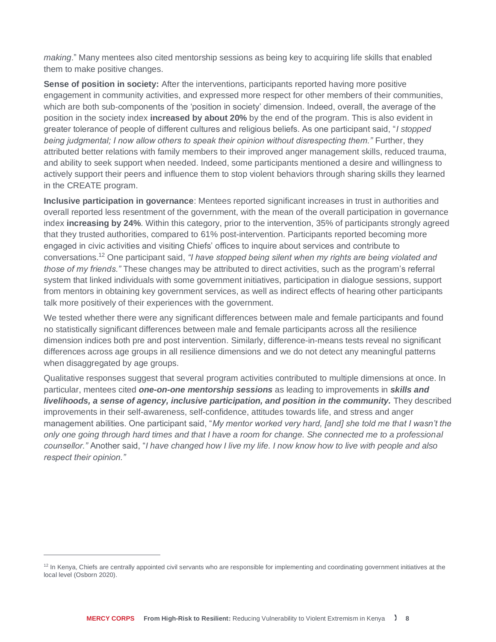*making*." Many mentees also cited mentorship sessions as being key to acquiring life skills that enabled them to make positive changes.

**Sense of position in society:** After the interventions, participants reported having more positive engagement in community activities, and expressed more respect for other members of their communities, which are both sub-components of the 'position in society' dimension. Indeed, overall, the average of the position in the society index **increased by about 20%** by the end of the program. This is also evident in greater tolerance of people of different cultures and religious beliefs. As one participant said, "*I stopped being judgmental; I now allow others to speak their opinion without disrespecting them.*" Further, they attributed better relations with family members to their improved anger management skills, reduced trauma, and ability to seek support when needed. Indeed, some participants mentioned a desire and willingness to actively support their peers and influence them to stop violent behaviors through sharing skills they learned in the CREATE program.

**Inclusive participation in governance**: Mentees reported significant increases in trust in authorities and overall reported less resentment of the government, with the mean of the overall participation in governance index **increasing by 24%**. Within this category, prior to the intervention, 35% of participants strongly agreed that they trusted authorities, compared to 61% post-intervention. Participants reported becoming more engaged in civic activities and visiting Chiefs' offices to inquire about services and contribute to conversations.<sup>12</sup> One participant said, *"I have stopped being silent when my rights are being violated and those of my friends."* These changes may be attributed to direct activities, such as the program's referral system that linked individuals with some government initiatives, participation in dialogue sessions, support from mentors in obtaining key government services, as well as indirect effects of hearing other participants talk more positively of their experiences with the government.

We tested whether there were any significant differences between male and female participants and found no statistically significant differences between male and female participants across all the resilience dimension indices both pre and post intervention. Similarly, difference-in-means tests reveal no significant differences across age groups in all resilience dimensions and we do not detect any meaningful patterns when disaggregated by age groups.

Qualitative responses suggest that several program activities contributed to multiple dimensions at once. In particular, mentees cited *one-on-one mentorship sessions* as leading to improvements in *skills and livelihoods, a sense of agency, inclusive participation, and position in the community.* They described improvements in their self-awareness, self-confidence, attitudes towards life, and stress and anger management abilities. One participant said, "*My mentor worked very hard, [and] she told me that I wasn't the*  only one going through hard times and that I have a room for change. She connected me to a professional *counsellor."* Another said, "*I have changed how I live my life. I now know how to live with people and also respect their opinion."* 

<sup>&</sup>lt;sup>12</sup> In Kenya, Chiefs are centrally appointed civil servants who are responsible for implementing and coordinating government initiatives at the local level (Osborn 2020).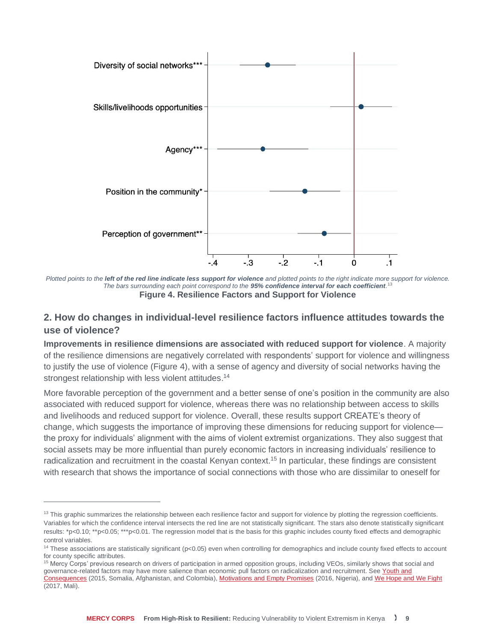

*Plotted points to the left of the red line indicate less support for violence and plotted points to the right indicate more support for violence. The bars surrounding each point correspond to the 95% confidence interval for each coefficient.* 13 **Figure 4. Resilience Factors and Support for Violence**

#### **2. How do changes in individual-level resilience factors influence attitudes towards the use of violence?**

**Improvements in resilience dimensions are associated with reduced support for violence**. A majority of the resilience dimensions are negatively correlated with respondents' support for violence and willingness to justify the use of violence (Figure 4), with a sense of agency and diversity of social networks having the strongest relationship with less violent attitudes.<sup>14</sup>

More favorable perception of the government and a better sense of one's position in the community are also associated with reduced support for violence, whereas there was no relationship between access to skills and livelihoods and reduced support for violence. Overall, these results support CREATE's theory of change, which suggests the importance of improving these dimensions for reducing support for violence the proxy for individuals' alignment with the aims of violent extremist organizations. They also suggest that social assets may be more influential than purely economic factors in increasing individuals' resilience to radicalization and recruitment in the coastal Kenyan context.<sup>15</sup> In particular, these findings are consistent with research that shows the importance of social connections with those who are dissimilar to oneself for

 $13$  This graphic summarizes the relationship between each resilience factor and support for violence by plotting the regression coefficients. Variables for which the confidence interval intersects the red line are not statistically significant. The stars also denote statistically significant results: \*p<0.10; \*\*p<0.05; \*\*\*p<0.01. The regression model that is the basis for this graphic includes county fixed effects and demographic control variables.

<sup>&</sup>lt;sup>14</sup> These associations are statistically significant (p<0.05) even when controlling for demographics and include county fixed effects to account for county specific attributes.

<sup>&</sup>lt;sup>15</sup> Mercy Corps' previous research on drivers of participation in armed opposition groups, including VEOs, similarly shows that social and governance-related factors may have more salience than economic pull factors on radicalization and recruitment. See Youth and [Consequences](https://www.mercycorps.org/research-resources/youth-consequences-unemployment) (2015, Somalia, Afghanistan, and Colombia), [Motivations and Empty Promises](https://www.mercycorps.org/research-resources/boko-haram-nigerian#:~:text=Youth-,Motivations%20and%20Empty%20Promises%3A%20Voices%20of%20Former,Haram%20Combatants%20and%20Nigerian%20Youth&text=Mercy%20Corps) (2016, Nigeria), an[d We Hope and We Fight](https://www.mercycorps.org/research-resources/we-hope-and-we-fight) (2017, Mali).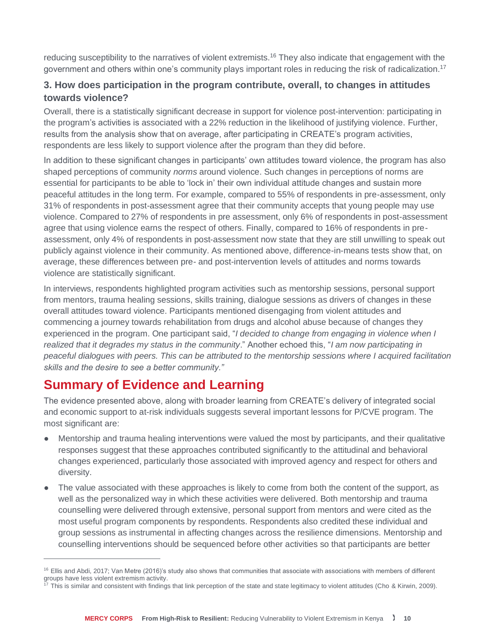reducing susceptibility to the narratives of violent extremists.<sup>16</sup> They also indicate that engagement with the government and others within one's community plays important roles in reducing the risk of radicalization.<sup>17</sup>

### **3. How does participation in the program contribute, overall, to changes in attitudes towards violence?**

Overall, there is a statistically significant decrease in support for violence post-intervention: participating in the program's activities is associated with a 22% reduction in the likelihood of justifying violence. Further, results from the analysis show that on average, after participating in CREATE's program activities, respondents are less likely to support violence after the program than they did before.

In addition to these significant changes in participants' own attitudes toward violence, the program has also shaped perceptions of community *norms* around violence. Such changes in perceptions of norms are essential for participants to be able to 'lock in' their own individual attitude changes and sustain more peaceful attitudes in the long term. For example, compared to 55% of respondents in pre-assessment, only 31% of respondents in post-assessment agree that their community accepts that young people may use violence. Compared to 27% of respondents in pre assessment, only 6% of respondents in post-assessment agree that using violence earns the respect of others. Finally, compared to 16% of respondents in preassessment, only 4% of respondents in post-assessment now state that they are still unwilling to speak out publicly against violence in their community. As mentioned above, difference-in-means tests show that, on average, these differences between pre- and post-intervention levels of attitudes and norms towards violence are statistically significant.

In interviews, respondents highlighted program activities such as mentorship sessions, personal support from mentors, trauma healing sessions, skills training, dialogue sessions as drivers of changes in these overall attitudes toward violence. Participants mentioned disengaging from violent attitudes and commencing a journey towards rehabilitation from drugs and alcohol abuse because of changes they experienced in the program. One participant said, "*I decided to change from engaging in violence when I realized that it degrades my status in the community*." Another echoed this, "*I am now participating in peaceful dialogues with peers. This can be attributed to the mentorship sessions where I acquired facilitation skills and the desire to see a better community."*

# **Summary of Evidence and Learning**

The evidence presented above, along with broader learning from CREATE's delivery of integrated social and economic support to at-risk individuals suggests several important lessons for P/CVE program. The most significant are:

- Mentorship and trauma healing interventions were valued the most by participants, and their qualitative responses suggest that these approaches contributed significantly to the attitudinal and behavioral changes experienced, particularly those associated with improved agency and respect for others and diversity.
- The value associated with these approaches is likely to come from both the content of the support, as well as the personalized way in which these activities were delivered. Both mentorship and trauma counselling were delivered through extensive, personal support from mentors and were cited as the most useful program components by respondents. Respondents also credited these individual and group sessions as instrumental in affecting changes across the resilience dimensions. Mentorship and counselling interventions should be sequenced before other activities so that participants are better

<sup>&</sup>lt;sup>16</sup> Ellis and Abdi, 2017; Van Metre (2016)'s study also shows that communities that associate with associations with members of different groups have less violent extremism activity.<br>
<sup>17</sup> This is similar violent extremism activity.

<sup>17</sup> This is similar and consistent with findings that link perception of the state and state legitimacy to violent attitudes (Cho & Kirwin, 2009).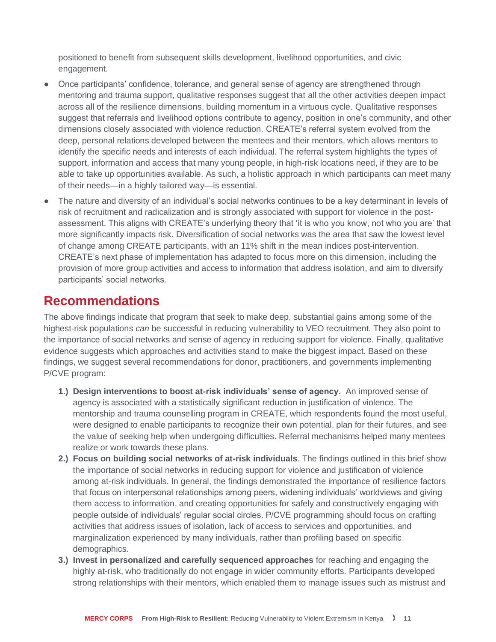positioned to benefit from subsequent skills development, livelihood opportunities, and civic engagement.

- Once participants' confidence, tolerance, and general sense of agency are strengthened through mentoring and trauma support, qualitative responses suggest that all the other activities deepen impact across all of the resilience dimensions, building momentum in a virtuous cycle. Qualitative responses suggest that referrals and livelihood options contribute to agency, position in one's community, and other dimensions closely associated with violence reduction. CREATE's referral system evolved from the deep, personal relations developed between the mentees and their mentors, which allows mentors to identify the specific needs and interests of each individual. The referral system highlights the types of support, information and access that many young people, in high-risk locations need, if they are to be able to take up opportunities available. As such, a holistic approach in which participants can meet many of their needs—in a highly tailored way—is essential.
- The nature and diversity of an individual's social networks continues to be a key determinant in levels of risk of recruitment and radicalization and is strongly associated with support for violence in the postassessment. This aligns with CREATE's underlying theory that 'it is who you know, not who you are' that more significantly impacts risk. Diversification of social networks was the area that saw the lowest level of change among CREATE participants, with an 11% shift in the mean indices post-intervention. CREATE's next phase of implementation has adapted to focus more on this dimension, including the provision of more group activities and access to information that address isolation, and aim to diversify participants' social networks.

## **Recommendations**

The above findings indicate that program that seek to make deep, substantial gains among some of the highest-risk populations *can* be successful in reducing vulnerability to VEO recruitment. They also point to the importance of social networks and sense of agency in reducing support for violence. Finally, qualitative evidence suggests which approaches and activities stand to make the biggest impact. Based on these findings, we suggest several recommendations for donor, practitioners, and governments implementing P/CVE program:

- **1.) Design interventions to boost at-risk individuals' sense of agency.** An improved sense of agency is associated with a statistically significant reduction in justification of violence. The mentorship and trauma counselling program in CREATE, which respondents found the most useful, were designed to enable participants to recognize their own potential, plan for their futures, and see the value of seeking help when undergoing difficulties. Referral mechanisms helped many mentees realize or work towards these plans.
- **2.) Focus on building social networks of at-risk individuals**. The findings outlined in this brief show the importance of social networks in reducing support for violence and justification of violence among at-risk individuals. In general, the findings demonstrated the importance of resilience factors that focus on interpersonal relationships among peers, widening individuals' worldviews and giving them access to information, and creating opportunities for safely and constructively engaging with people outside of individuals' regular social circles. P/CVE programming should focus on crafting activities that address issues of isolation, lack of access to services and opportunities, and marginalization experienced by many individuals, rather than profiling based on specific demographics.
- **3.) Invest in personalized and carefully sequenced approaches** for reaching and engaging the highly at-risk, who traditionally do not engage in wider community efforts. Participants developed strong relationships with their mentors, which enabled them to manage issues such as mistrust and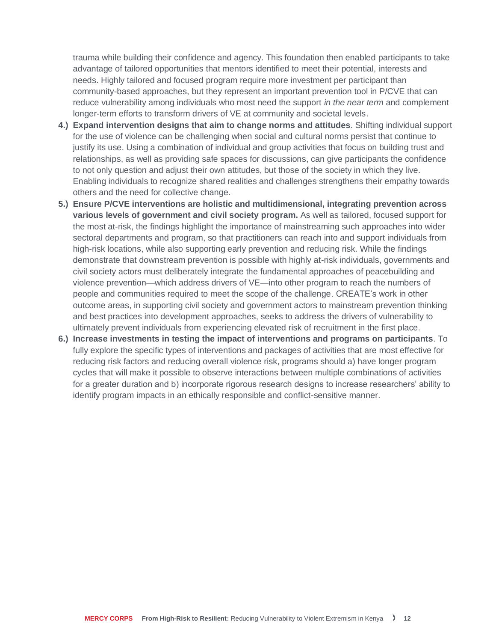trauma while building their confidence and agency. This foundation then enabled participants to take advantage of tailored opportunities that mentors identified to meet their potential, interests and needs. Highly tailored and focused program require more investment per participant than community-based approaches, but they represent an important prevention tool in P/CVE that can reduce vulnerability among individuals who most need the support *in the near term* and complement longer-term efforts to transform drivers of VE at community and societal levels.

- **4.) Expand intervention designs that aim to change norms and attitudes**. Shifting individual support for the use of violence can be challenging when social and cultural norms persist that continue to justify its use. Using a combination of individual and group activities that focus on building trust and relationships, as well as providing safe spaces for discussions, can give participants the confidence to not only question and adjust their own attitudes, but those of the society in which they live. Enabling individuals to recognize shared realities and challenges strengthens their empathy towards others and the need for collective change.
- **5.) Ensure P/CVE interventions are holistic and multidimensional, integrating prevention across various levels of government and civil society program.** As well as tailored, focused support for the most at-risk, the findings highlight the importance of mainstreaming such approaches into wider sectoral departments and program, so that practitioners can reach into and support individuals from high-risk locations, while also supporting early prevention and reducing risk. While the findings demonstrate that downstream prevention is possible with highly at-risk individuals, governments and civil society actors must deliberately integrate the fundamental approaches of peacebuilding and violence prevention—which address drivers of VE—into other program to reach the numbers of people and communities required to meet the scope of the challenge. CREATE's work in other outcome areas, in supporting civil society and government actors to mainstream prevention thinking and best practices into development approaches, seeks to address the drivers of vulnerability to ultimately prevent individuals from experiencing elevated risk of recruitment in the first place.
- **6.) Increase investments in testing the impact of interventions and programs on participants**. To fully explore the specific types of interventions and packages of activities that are most effective for reducing risk factors and reducing overall violence risk, programs should a) have longer program cycles that will make it possible to observe interactions between multiple combinations of activities for a greater duration and b) incorporate rigorous research designs to increase researchers' ability to identify program impacts in an ethically responsible and conflict-sensitive manner.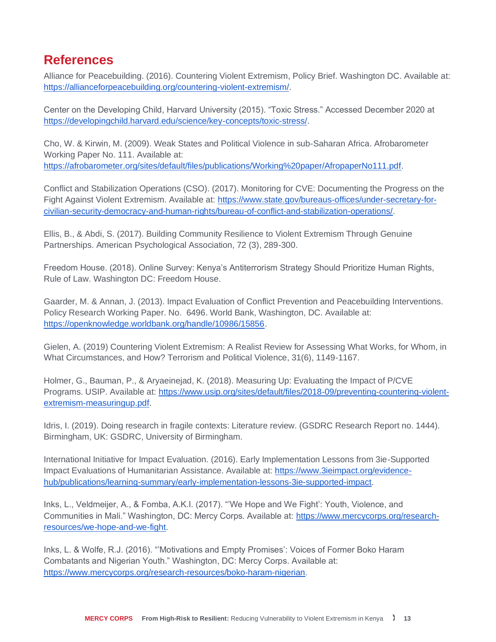## **References**

Alliance for Peacebuilding. (2016). Countering Violent Extremism, Policy Brief. Washington DC. Available at: [https://allianceforpeacebuilding.org/countering-violent-extremism/.](https://allianceforpeacebuilding.org/countering-violent-extremism/)

Center on the Developing Child, Harvard University (2015). "Toxic Stress." Accessed December 2020 at [https://developingchild.harvard.edu/science/key-concepts/toxic-stress/.](https://developingchild.harvard.edu/science/key-concepts/toxic-stress/)

Cho, W. & Kirwin, M. (2009). Weak States and Political Violence in sub-Saharan Africa. Afrobarometer Working Paper No. 111. Available at: [https://afrobarometer.org/sites/default/files/publications/Working%20paper/AfropaperNo111.pdf.](https://afrobarometer.org/sites/default/files/publications/Working%20paper/AfropaperNo111.pdf)

Conflict and Stabilization Operations (CSO). (2017). Monitoring for CVE: Documenting the Progress on the Fight Against Violent Extremism. Available at: [https://www.state.gov/bureaus-offices/under-secretary-for](https://www.state.gov/bureaus-offices/under-secretary-for-civilian-security-democracy-and-human-rights/bureau-of-conflict-and-stabilization-operations/)[civilian-security-democracy-and-human-rights/bureau-of-conflict-and-stabilization-operations/.](https://www.state.gov/bureaus-offices/under-secretary-for-civilian-security-democracy-and-human-rights/bureau-of-conflict-and-stabilization-operations/)

Ellis, B., & Abdi, S. (2017). Building Community Resilience to Violent Extremism Through Genuine Partnerships. American Psychological Association, 72 (3), 289-300.

Freedom House. (2018). Online Survey: Kenya's Antiterrorism Strategy Should Prioritize Human Rights, Rule of Law. Washington DC: Freedom House.

Gaarder, M. & Annan, J. (2013). Impact Evaluation of Conflict Prevention and Peacebuilding Interventions. Policy Research Working Paper. No. 6496. World Bank, Washington, DC. Available at: [https://openknowledge.worldbank.org/handle/10986/15856.](https://openknowledge.worldbank.org/handle/10986/15856)

Gielen, A. (2019) Countering Violent Extremism: A Realist Review for Assessing What Works, for Whom, in What Circumstances, and How? Terrorism and Political Violence, 31(6), 1149-1167.

Holmer, G., Bauman, P., & Aryaeinejad, K. (2018). Measuring Up: Evaluating the Impact of P/CVE Programs. USIP. Available at: [https://www.usip.org/sites/default/files/2018-09/preventing-countering-violent](https://www.usip.org/sites/default/files/2018-09/preventing-countering-violent-extremism-measuringup.pdf)[extremism-measuringup.pdf.](https://www.usip.org/sites/default/files/2018-09/preventing-countering-violent-extremism-measuringup.pdf)

Idris, I. (2019). Doing research in fragile contexts: Literature review. (GSDRC Research Report no. 1444). Birmingham, UK: GSDRC, University of Birmingham.

International Initiative for Impact Evaluation. (2016). Early Implementation Lessons from 3ie-Supported Impact Evaluations of Humanitarian Assistance. Available at: [https://www.3ieimpact.org/evidence](https://www.3ieimpact.org/evidence-hub/publications/learning-summary/early-implementation-lessons-3ie-supported-impact)[hub/publications/learning-summary/early-implementation-lessons-3ie-supported-impact.](https://www.3ieimpact.org/evidence-hub/publications/learning-summary/early-implementation-lessons-3ie-supported-impact)

Inks, L., Veldmeijer, A., & Fomba, A.K.I. (2017). "'We Hope and We Fight': Youth, Violence, and Communities in Mali." Washington, DC: Mercy Corps. Available at: [https://www.mercycorps.org/research](https://www.mercycorps.org/research-resources/we-hope-and-we-fight)[resources/we-hope-and-we-fight.](https://www.mercycorps.org/research-resources/we-hope-and-we-fight)

Inks, L. & Wolfe, R.J. (2016). "'Motivations and Empty Promises': Voices of Former Boko Haram Combatants and Nigerian Youth." Washington, DC: Mercy Corps. Available at: [https://www.mercycorps.org/research-resources/boko-haram-nigerian.](https://www.mercycorps.org/research-resources/boko-haram-nigerian)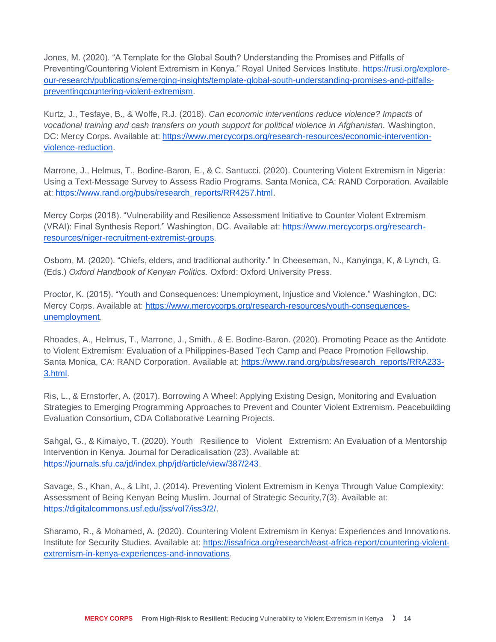Jones, M. (2020). "A Template for the Global South? Understanding the Promises and Pitfalls of Preventing/Countering Violent Extremism in Kenya." Royal United Services Institute. [https://rusi.org/explore](https://rusi.org/explore-our-research/publications/emerging-insights/template-global-south-understanding-promises-and-pitfalls-preventingcountering-violent-extremism)[our-research/publications/emerging-insights/template-global-south-understanding-promises-and-pitfalls](https://rusi.org/explore-our-research/publications/emerging-insights/template-global-south-understanding-promises-and-pitfalls-preventingcountering-violent-extremism)[preventingcountering-violent-extremism.](https://rusi.org/explore-our-research/publications/emerging-insights/template-global-south-understanding-promises-and-pitfalls-preventingcountering-violent-extremism)

Kurtz, J., Tesfaye, B., & Wolfe, R.J. (2018). *Can economic interventions reduce violence? Impacts of vocational training and cash transfers on youth support for political violence in Afghanistan.* Washington, DC: Mercy Corps. Available at: [https://www.mercycorps.org/research-resources/economic-intervention](https://www.mercycorps.org/research-resources/economic-intervention-violence-reduction)[violence-reduction.](https://www.mercycorps.org/research-resources/economic-intervention-violence-reduction)

Marrone, J., Helmus, T., Bodine-Baron, E., & C. Santucci. (2020). Countering Violent Extremism in Nigeria: Using a Text-Message Survey to Assess Radio Programs. Santa Monica, CA: RAND Corporation. Available at: [https://www.rand.org/pubs/research\\_reports/RR4257.html.](https://www.rand.org/pubs/research_reports/RR4257.html)

Mercy Corps (2018). "Vulnerability and Resilience Assessment Initiative to Counter Violent Extremism (VRAI): Final Synthesis Report." Washington, DC. Available at[: https://www.mercycorps.org/research](https://www.mercycorps.org/research-resources/niger-recruitment-extremist-groups)[resources/niger-recruitment-extremist-groups.](https://www.mercycorps.org/research-resources/niger-recruitment-extremist-groups)

Osborn, M. (2020). "Chiefs, elders, and traditional authority." In Cheeseman, N., Kanyinga, K, & Lynch, G. (Eds.) *Oxford Handbook of Kenyan Politics.* Oxford: Oxford University Press.

Proctor, K. (2015). "Youth and Consequences: Unemployment, Injustice and Violence." Washington, DC: Mercy Corps. Available at: [https://www.mercycorps.org/research-resources/youth-consequences](https://www.mercycorps.org/research-resources/youth-consequences-unemployment)[unemployment.](https://www.mercycorps.org/research-resources/youth-consequences-unemployment)

Rhoades, A., Helmus, T., Marrone, J., Smith., & E. Bodine-Baron. (2020). Promoting Peace as the Antidote to Violent Extremism: Evaluation of a Philippines-Based Tech Camp and Peace Promotion Fellowship. Santa Monica, CA: RAND Corporation. Available at: [https://www.rand.org/pubs/research\\_reports/RRA233-](https://www.rand.org/pubs/research_reports/RRA233-3.html) [3.html.](https://www.rand.org/pubs/research_reports/RRA233-3.html)

Ris, L., & Ernstorfer, A. (2017). Borrowing A Wheel: Applying Existing Design, Monitoring and Evaluation Strategies to Emerging Programming Approaches to Prevent and Counter Violent Extremism. Peacebuilding Evaluation Consortium, CDA Collaborative Learning Projects.

Sahgal, G., & Kimaiyo, T. (2020). Youth Resilience to Violent Extremism: An Evaluation of a Mentorship Intervention in Kenya. Journal for Deradicalisation (23). Available at: [https://journals.sfu.ca/jd/index.php/jd/article/view/387/243.](https://journals.sfu.ca/jd/index.php/jd/article/view/387/243)

Savage, S., Khan, A., & Liht, J. (2014). Preventing Violent Extremism in Kenya Through Value Complexity: Assessment of Being Kenyan Being Muslim. Journal of Strategic Security,7(3). Available at: [https://digitalcommons.usf.edu/jss/vol7/iss3/2/.](https://digitalcommons.usf.edu/jss/vol7/iss3/2/)

Sharamo, R., & Mohamed, A. (2020). Countering Violent Extremism in Kenya: Experiences and Innovations. Institute for Security Studies. Available at: [https://issafrica.org/research/east-africa-report/countering-violent](https://issafrica.org/research/east-africa-report/countering-violent-extremism-in-kenya-experiences-and-innovations)[extremism-in-kenya-experiences-and-innovations.](https://issafrica.org/research/east-africa-report/countering-violent-extremism-in-kenya-experiences-and-innovations)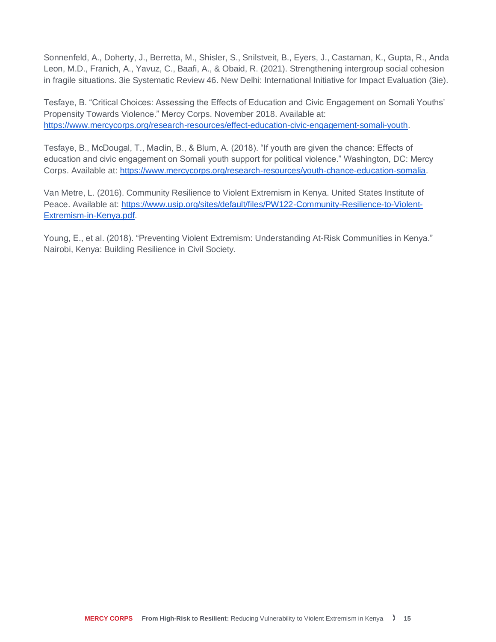Sonnenfeld, A., Doherty, J., Berretta, M., Shisler, S., Snilstveit, B., Eyers, J., Castaman, K., Gupta, R., Anda Leon, M.D., Franich, A., Yavuz, C., Baafi, A., & Obaid, R. (2021). Strengthening intergroup social cohesion in fragile situations. 3ie Systematic Review 46. New Delhi: International Initiative for Impact Evaluation (3ie).

Tesfaye, B. "Critical Choices: Assessing the Effects of Education and Civic Engagement on Somali Youths' Propensity Towards Violence." Mercy Corps. November 2018. Available at: [https://www.mercycorps.org/research-resources/effect-education-civic-engagement-somali-youth.](https://www.mercycorps.org/research-resources/effect-education-civic-engagement-somali-youth)

Tesfaye, B., McDougal, T., Maclin, B., & Blum, A. (2018). "If youth are given the chance: Effects of education and civic engagement on Somali youth support for political violence." Washington, DC: Mercy Corps. Available at: [https://www.mercycorps.org/research-resources/youth-chance-education-somalia.](https://www.mercycorps.org/research-resources/youth-chance-education-somalia)

Van Metre, L. (2016). Community Resilience to Violent Extremism in Kenya. United States Institute of Peace. Available at: [https://www.usip.org/sites/default/files/PW122-Community-Resilience-to-Violent-](https://www.usip.org/sites/default/files/PW122-Community-Resilience-to-Violent-Extremism-in-Kenya.pdf)[Extremism-in-Kenya.pdf.](https://www.usip.org/sites/default/files/PW122-Community-Resilience-to-Violent-Extremism-in-Kenya.pdf)

Young, E., et al. (2018). "Preventing Violent Extremism: Understanding At-Risk Communities in Kenya." Nairobi, Kenya: Building Resilience in Civil Society.